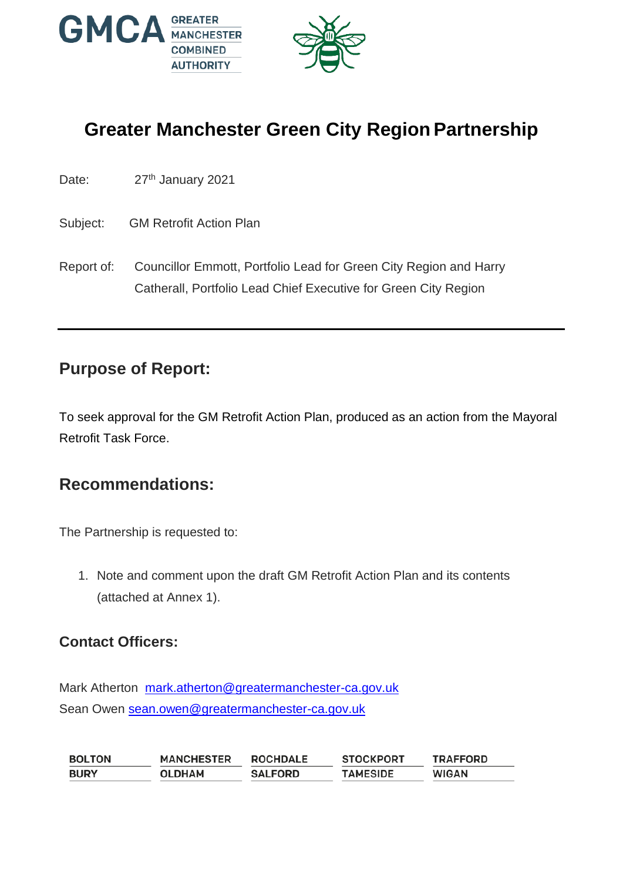

# **Greater Manchester Green City Region Partnership**

| Date: | 27th January 2021 |
|-------|-------------------|
|-------|-------------------|

Subject: GM Retrofit Action Plan

Report of: Councillor Emmott, Portfolio Lead for Green City Region and Harry Catherall, Portfolio Lead Chief Executive for Green City Region

#### **Purpose of Report:**

To seek approval for the GM Retrofit Action Plan, produced as an action from the Mayoral Retrofit Task Force.

#### **Recommendations:**

The Partnership is requested to:

1. Note and comment upon the draft GM Retrofit Action Plan and its contents (attached at Annex 1).

#### **Contact Officers:**

Mark Atherton [mark.atherton@greatermanchester-ca.gov.uk](mailto:mark.atherton@greatermanchester-ca.gov.uk) Sean Owen [sean.owen@greatermanchester-ca.gov.uk](mailto:sean.owen@greatermanchester-ca.gov.uk)

**MANCHESTER BOLTON ROCHDALE STOCKPORT TRAFFORD BURY OLDHAM SALFORD TAMESIDE WIGAN**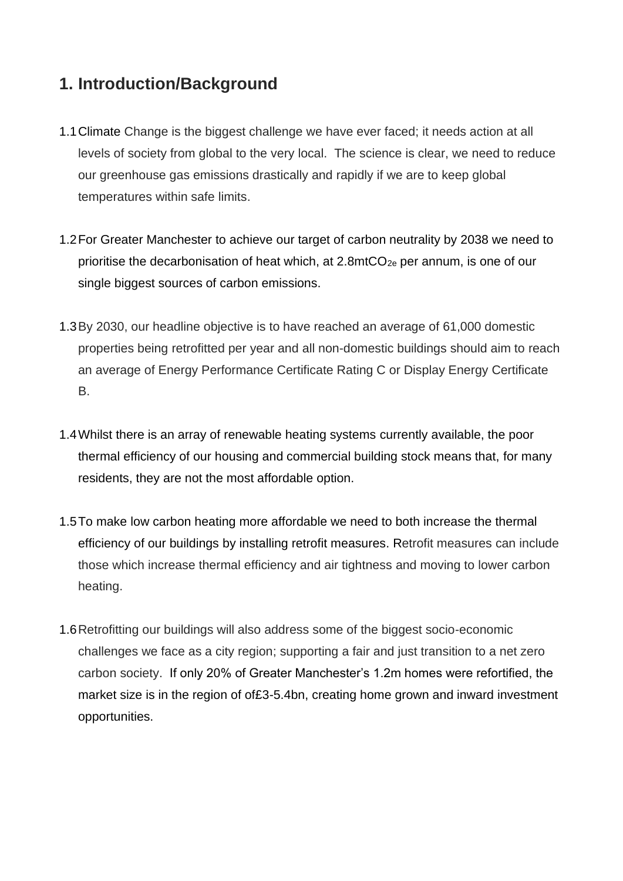## **1. Introduction/Background**

- 1.1Climate Change is the biggest challenge we have ever faced; it needs action at all levels of society from global to the very local. The science is clear, we need to reduce our greenhouse gas emissions drastically and rapidly if we are to keep global temperatures within safe limits.
- 1.2For Greater Manchester to achieve our target of carbon neutrality by 2038 we need to prioritise the decarbonisation of heat which, at  $2.8 \text{mtCO}_{2e}$  per annum, is one of our single biggest sources of carbon emissions.
- 1.3By 2030, our headline objective is to have reached an average of 61,000 domestic properties being retrofitted per year and all non-domestic buildings should aim to reach an average of Energy Performance Certificate Rating C or Display Energy Certificate B.
- 1.4Whilst there is an array of renewable heating systems currently available, the poor thermal efficiency of our housing and commercial building stock means that, for many residents, they are not the most affordable option.
- 1.5To make low carbon heating more affordable we need to both increase the thermal efficiency of our buildings by installing retrofit measures. Retrofit measures can include those which increase thermal efficiency and air tightness and moving to lower carbon heating.
- 1.6Retrofitting our buildings will also address some of the biggest socio-economic challenges we face as a city region; supporting a fair and just transition to a net zero carbon society. If only 20% of Greater Manchester's 1.2m homes were refortified, the market size is in the region of of£3-5.4bn, creating home grown and inward investment opportunities.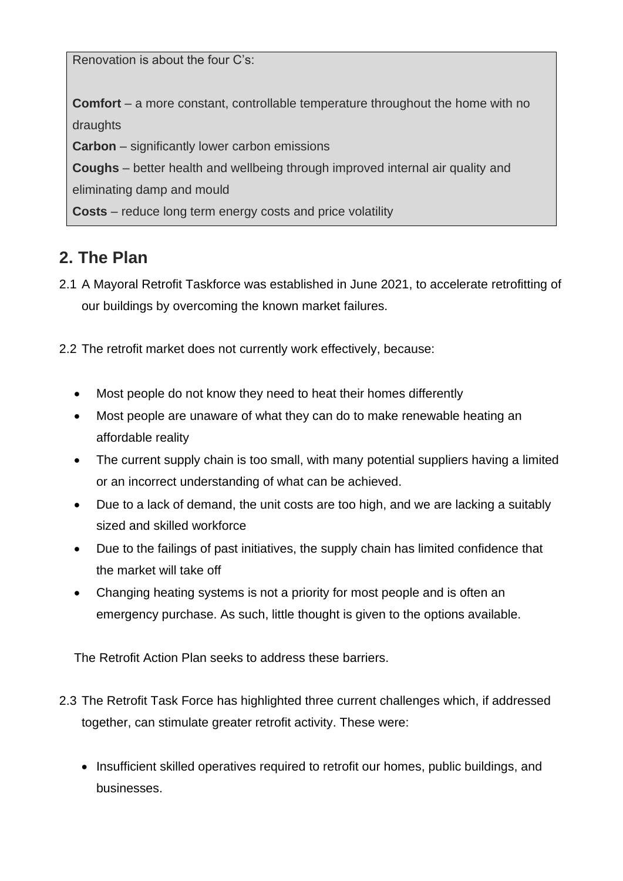Renovation is about the four C's:

**Comfort** – a more constant, controllable temperature throughout the home with no draughts

**Carbon** – significantly lower carbon emissions

**Coughs** – better health and wellbeing through improved internal air quality and eliminating damp and mould

**Costs** – reduce long term energy costs and price volatility

#### **2. The Plan**

- 2.1 A Mayoral Retrofit Taskforce was established in June 2021, to accelerate retrofitting of our buildings by overcoming the known market failures.
- 2.2 The retrofit market does not currently work effectively, because:
	- Most people do not know they need to heat their homes differently
	- Most people are unaware of what they can do to make renewable heating an affordable reality
	- The current supply chain is too small, with many potential suppliers having a limited or an incorrect understanding of what can be achieved.
	- Due to a lack of demand, the unit costs are too high, and we are lacking a suitably sized and skilled workforce
	- Due to the failings of past initiatives, the supply chain has limited confidence that the market will take off
	- Changing heating systems is not a priority for most people and is often an emergency purchase. As such, little thought is given to the options available.

The Retrofit Action Plan seeks to address these barriers.

- 2.3 The Retrofit Task Force has highlighted three current challenges which, if addressed together, can stimulate greater retrofit activity. These were:
	- Insufficient skilled operatives required to retrofit our homes, public buildings, and businesses.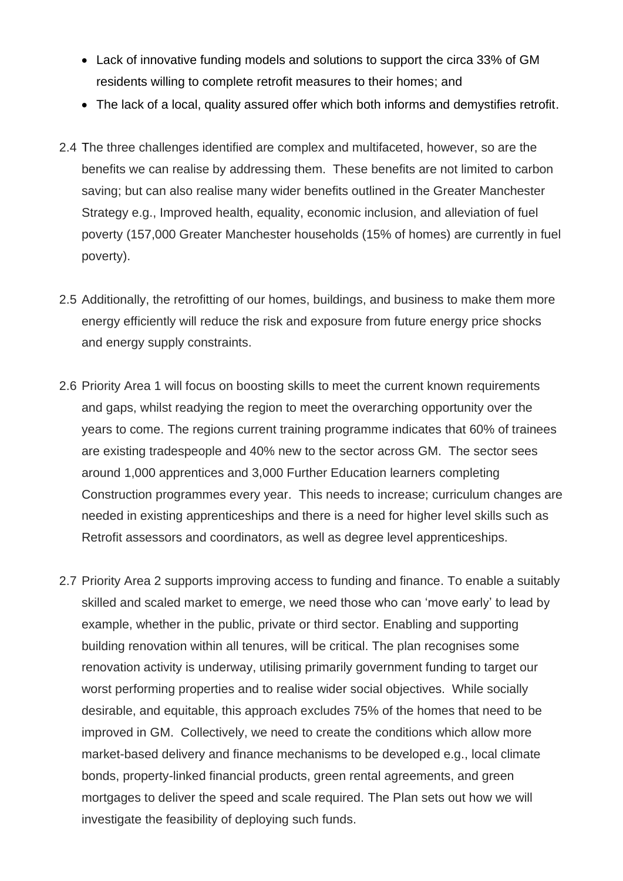- Lack of innovative funding models and solutions to support the circa 33% of GM residents willing to complete retrofit measures to their homes; and
- The lack of a local, quality assured offer which both informs and demystifies retrofit.
- 2.4 The three challenges identified are complex and multifaceted, however, so are the benefits we can realise by addressing them. These benefits are not limited to carbon saving; but can also realise many wider benefits outlined in the Greater Manchester Strategy e.g., Improved health, equality, economic inclusion, and alleviation of fuel poverty (157,000 Greater Manchester households (15% of homes) are currently in fuel poverty).
- 2.5 Additionally, the retrofitting of our homes, buildings, and business to make them more energy efficiently will reduce the risk and exposure from future energy price shocks and energy supply constraints.
- 2.6 Priority Area 1 will focus on boosting skills to meet the current known requirements and gaps, whilst readying the region to meet the overarching opportunity over the years to come. The regions current training programme indicates that 60% of trainees are existing tradespeople and 40% new to the sector across GM. The sector sees around 1,000 apprentices and 3,000 Further Education learners completing Construction programmes every year. This needs to increase; curriculum changes are needed in existing apprenticeships and there is a need for higher level skills such as Retrofit assessors and coordinators, as well as degree level apprenticeships.
- 2.7 Priority Area 2 supports improving access to funding and finance. To enable a suitably skilled and scaled market to emerge, we need those who can 'move early' to lead by example, whether in the public, private or third sector. Enabling and supporting building renovation within all tenures, will be critical. The plan recognises some renovation activity is underway, utilising primarily government funding to target our worst performing properties and to realise wider social objectives. While socially desirable, and equitable, this approach excludes 75% of the homes that need to be improved in GM. Collectively, we need to create the conditions which allow more market-based delivery and finance mechanisms to be developed e.g., local climate bonds, property-linked financial products, green rental agreements, and green mortgages to deliver the speed and scale required. The Plan sets out how we will investigate the feasibility of deploying such funds.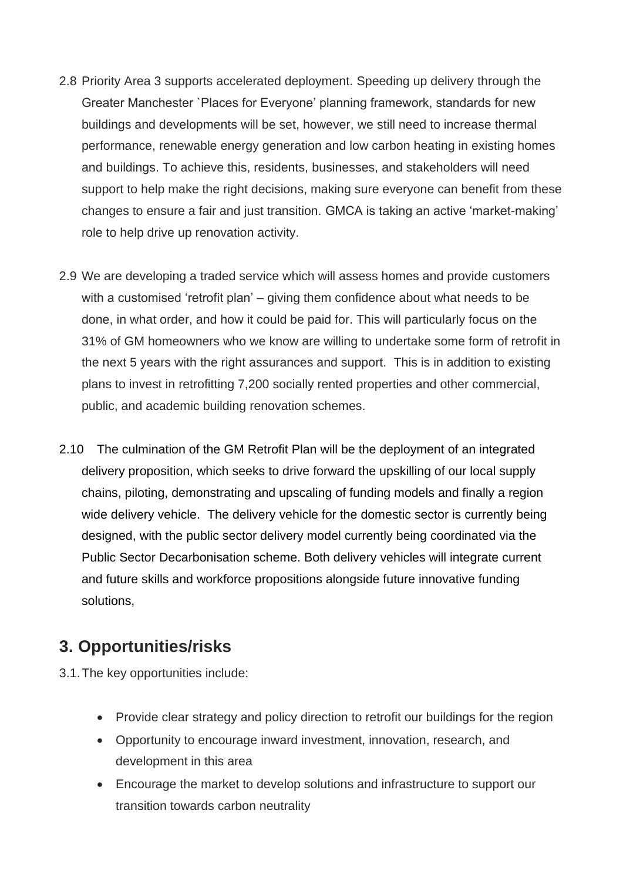- 2.8 Priority Area 3 supports accelerated deployment. Speeding up delivery through the Greater Manchester `Places for Everyone' planning framework, standards for new buildings and developments will be set, however, we still need to increase thermal performance, renewable energy generation and low carbon heating in existing homes and buildings. To achieve this, residents, businesses, and stakeholders will need support to help make the right decisions, making sure everyone can benefit from these changes to ensure a fair and just transition. GMCA is taking an active 'market-making' role to help drive up renovation activity.
- 2.9 We are developing a traded service which will assess homes and provide customers with a customised 'retrofit plan' – giving them confidence about what needs to be done, in what order, and how it could be paid for. This will particularly focus on the 31% of GM homeowners who we know are willing to undertake some form of retrofit in the next 5 years with the right assurances and support. This is in addition to existing plans to invest in retrofitting 7,200 socially rented properties and other commercial, public, and academic building renovation schemes.
- 2.10 The culmination of the GM Retrofit Plan will be the deployment of an integrated delivery proposition, which seeks to drive forward the upskilling of our local supply chains, piloting, demonstrating and upscaling of funding models and finally a region wide delivery vehicle. The delivery vehicle for the domestic sector is currently being designed, with the public sector delivery model currently being coordinated via the Public Sector Decarbonisation scheme. Both delivery vehicles will integrate current and future skills and workforce propositions alongside future innovative funding solutions,

### **3. Opportunities/risks**

3.1.The key opportunities include:

- Provide clear strategy and policy direction to retrofit our buildings for the region
- Opportunity to encourage inward investment, innovation, research, and development in this area
- Encourage the market to develop solutions and infrastructure to support our transition towards carbon neutrality